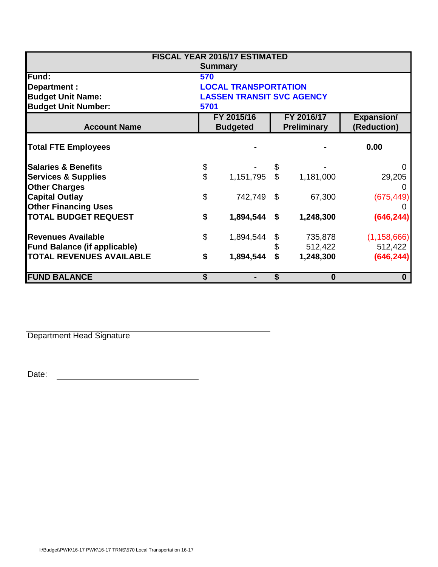| <b>FISCAL YEAR 2016/17 ESTIMATED</b> |                                  |           |                                  |           |                                  |  |  |  |  |  |
|--------------------------------------|----------------------------------|-----------|----------------------------------|-----------|----------------------------------|--|--|--|--|--|
| <b>Summary</b>                       |                                  |           |                                  |           |                                  |  |  |  |  |  |
| Fund:                                | 570                              |           |                                  |           |                                  |  |  |  |  |  |
| Department :                         | <b>LOCAL TRANSPORTATION</b>      |           |                                  |           |                                  |  |  |  |  |  |
| <b>Budget Unit Name:</b>             | <b>LASSEN TRANSIT SVC AGENCY</b> |           |                                  |           |                                  |  |  |  |  |  |
| <b>Budget Unit Number:</b><br>5701   |                                  |           |                                  |           |                                  |  |  |  |  |  |
| <b>Account Name</b>                  | FY 2015/16<br><b>Budgeted</b>    |           | FY 2016/17<br><b>Preliminary</b> |           | <b>Expansion/</b><br>(Reduction) |  |  |  |  |  |
| <b>Total FTE Employees</b>           |                                  |           |                                  |           | 0.00                             |  |  |  |  |  |
| <b>Salaries &amp; Benefits</b>       | \$                               |           | \$                               |           | $\mathbf{\Omega}$                |  |  |  |  |  |
| <b>Services &amp; Supplies</b>       | $\overline{\mathbf{S}}$          | 1,151,795 | $\mathbb{S}$                     | 1,181,000 | 29,205                           |  |  |  |  |  |
| <b>Other Charges</b>                 |                                  |           |                                  |           |                                  |  |  |  |  |  |
| <b>Capital Outlay</b>                | \$                               | 742,749   | \$                               | 67,300    | (675, 449)                       |  |  |  |  |  |
| <b>Other Financing Uses</b>          |                                  |           |                                  |           |                                  |  |  |  |  |  |
| <b>TOTAL BUDGET REQUEST</b>          | \$                               | 1,894,544 | \$                               | 1,248,300 | (646, 244)                       |  |  |  |  |  |
| <b>Revenues Available</b>            | $\boldsymbol{\mathsf{S}}$        | 1,894,544 |                                  | 735,878   | (1, 158, 666)                    |  |  |  |  |  |
| <b>Fund Balance (if applicable)</b>  |                                  |           |                                  | 512,422   | 512,422                          |  |  |  |  |  |
| <b>TOTAL REVENUES AVAILABLE</b>      | \$                               | 1,894,544 | \$                               | 1,248,300 | (646, 244)                       |  |  |  |  |  |
| <b>FUND BALANCE</b>                  | \$                               |           | S                                | 0         | 0                                |  |  |  |  |  |

Department Head Signature

Date: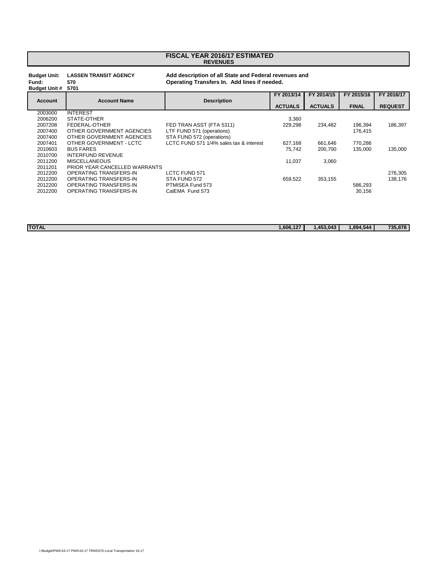## **REVENUES FISCAL YEAR 2016/17 ESTIMATED**

## **Budget Unit: LASSEN TRANSIT AGENCY Add description of all State and Federal revenues and**

**Fund: 570 Operating Transfers In. Add lines if needed. Budget Unit # FY 2013/14 FY 2014/15 FY 2015/16 FY 2016/17 Account Account Name Description ACTUALS ACTUALS FINAL REQUEST** 2003000 INTEREST<br>2006200 STATE-OT 2006200 STATE-OTHER 3,360<br>2007208 FEDERAL-OTHER FED TRAN ASST (FTA 5311) 229,298 2007208 FEDERAL-OTHER FED TRAN ASST (FTA 5311) 229,298 234,482 196,394 186,397 2007400 OTHER GOVERNMENT AGENCIES LTF FUND 571 (operations)<br>2007400 OTHER GOVERNMENT AGENCIES STA FUND 572 (operations) 2007400 OTHER GOVERNMENT AGENCIES<br>2007401 OTHER GOVERNMENT - LCTC 2007401 OTHER GOVERNMENT - LCTC LCTC FUND 571 1/4% sales tax & interest 627,168 661,646 770,286 2010603 BUS FARES 75,742 200,700 135,000 135,000 2010700 INTERFUND REVENUE<br>2011200 MISCELLANEOUS 2011200 MISCELLANEOUS 11,037 3,060 2011201 PRIOR YEAR CANCELLED WARRANTS 2012200 OPERATING TRANSFERS-IN LCTC FUND 571 276,305 2012200 OPERATING TRANSFERS-IN STA FUND 572 659,522 353,155 586,293<br>2012200 OPERATING TRANSFERS-IN PTMISEA Fund 573 2012200 OPERATING TRANSFERS-IN PTMISEA Fund 573 586,293 OPERATING TRANSFERS-IN

**TOTAL 1,606,127 1,453,043 1,894,544 735,878**